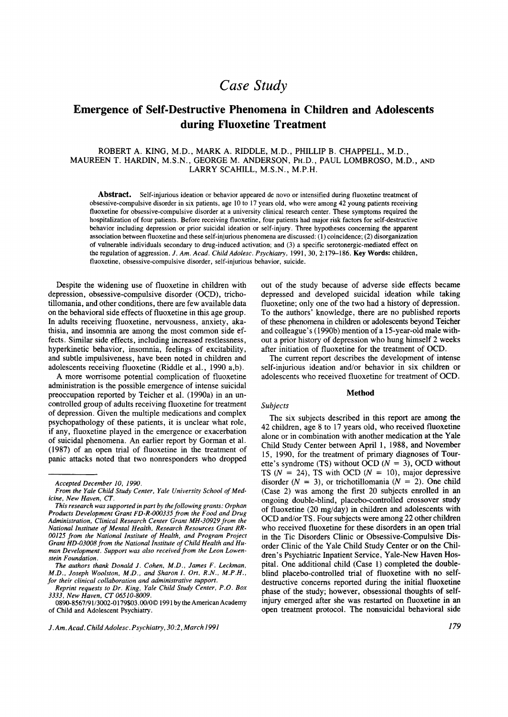# *Case Study*

## **Emergence of Self-Destructive Phenomena in Children and Adolescents during Fluoxetine Treatment**

## ROBERT A. KING, M.D., MARK A. RIDDLE, M.D., PHILLIP B. CHAPPELL, M.D., MAUREEN T. HARDIN, M.S.N., GEORGE M. ANDERSON, PH.D., PAUL LOMBROSO, M.D., **AND**  LARRY SCAHILL, M.S.N., M.P.H.

**Abstract.** Self-injurious ideation or behavior appeared de novo or intensified during fluoxetine treatment of obsessive-compulsive disorder in six patients, age 10 to 17 years old, who were among 42 young patients receiving fluoxetine for obsessive-compulsive disorder at a university clinical research center. These symptoms required the hospitalization of four patients. Before receiving fluoxetine, four patients had major risk factors for self-destructive behavior including depression or prior suicidal ideation or self-injury. Three hypotheses concerning the apparent association between fluoxetine and these self-injurious phenomena are discussed: (1) coincidence; (2) disorganization of vulnerable individuals secondary to drug-induced activation; and **(3)** a specific serotonergic-mediated effect on the regulation of aggression. *J. Am. Acad. Child Adolesc. Psychiatry,* 1991, **30,** 2:179-186. **Key Words:** children, fluoxetine, obsessive-compulsive disorder, self-injurious behavior, suicide.

Despite the widening use of fluoxetine in children with depression, obsessive-compulsive disorder (OCD), trichotillomania, and other conditions, there are few available data on the behavioral side effects of fluoxetine in this age group. In adults receiving fluoxetine, nervousness, anxiety, akathisia, and insomnia are among the most common side effects. Similar side effects, including increased restlessness, hyperkinetic behavior, insomnia, feelings of excitability, and subtle impulsiveness, have been noted in children and adolescents receiving fluoxetine (Riddle et al., 1990 a,b).

A more worrisome potential complication of fluoxetine administration is the possible emergence of intense suicidal preoccupation reported by Teicher et al. (1990a) in an uncontrolled group of adults receiving fluoxetine for treatment of depression. Given the multiple medications and complex psychopathology of these patients, it is unclear what role, if any, fluoxetine played in the emergence or exacerbation of suicidal phenomena. An earlier report by Gorman et al. (1987) of an open trial of fluoxetine in the treatment of panic attacks noted that two nonresponders who dropped out of the study because of adverse side effects became depressed and developed suicidal ideation while taking fluoxetine; only one of the two had a history of depression. To the authors' knowledge, there are no published reports of these phenomena in children or adolescents beyond Teicher and colleague's (1990b) mention of a 15-year-old male without a prior history of depression who hung himself 2 weeks after initiation of fluoxetine for the treatment of OCD.

The current report describes the development of intense self-injurious ideation and/or behavior in six children or adolescents who received fluoxetine for treatment of OCD.

## **Method**

## *Subjects*

The six subjects described in this report are among the 42 children, age **8** to 17 years old, who received fluoxetine alone or in combination with another medication at the Yale Child Study Center between April 1, 1988, and November 15, 1990, for the treatment of primary diagnoses of Tourette's syndrome (TS) without OCD  $(N = 3)$ , OCD without TS  $(N = 24)$ , TS with OCD  $(N = 10)$ , major depressive disorder  $(N = 3)$ , or trichotillomania  $(N = 2)$ . One child (Case 2) was among the first 20 subjects enrolled in an ongoing double-blind, placebo-controlled crossover study of fluoxetine (20 mg/day) in children and adolescents with OCD and/or TS. Four subjects were among *22* other children who received fluoxetine for these disorders in an open trial in the Tic Disorders Clinic or Obsessive-Compulsive Disorder Clinic of the Yale Child Study Center or on the Children's Psychiatric Inpatient Service, Yale-New Haven Hospital. One additional child (Case 1) completed the doubleblind placebo-controlled trial of fluoxetine with no selfdestructive concerns reported during the initial fluoxetine phase of the study; however, obsessional thoughts of selfinjury emerged after she was restarted on fluoxetine in an open treatment protocol. The nonsuicidal behavioral side

*Accepted December 10, 1990.* 

*From the Yale Child Study Center, Yale University School of Medicine, New Haven, CT.* 

*This research was supported in part by the following grants: Orphan Products Development Grant FD-R-000335 from the Food and Drug Administration, Clinical Research Center Grant MH-30929 from the National Institute of Mental Health, Research Resources Grant RR-00125 from the National Institute of Health, and Program Project Grant HD-03008 from the National Institute of Child Health and Hu man Development. Support was also received from the Leon Lowenstein Foundation.* 

*The authors thank Donald J. Cohen, M.D., James F. Leckman, M.D., Joseph Woolston, M.D., and Sharon I. Ort, R.N., M.P.H., for their clinical collaboration and administrative support.* 

*Reprint requests to Dr. King, Yale Child Study Center, P.O. Box 3333, New Haven, CT 06510-8009.* 

**<sup>0890-8567/91/3002-0179\$03.00/00</sup>** 1991 by the American Academy of Child and Adolescent Psychiatry.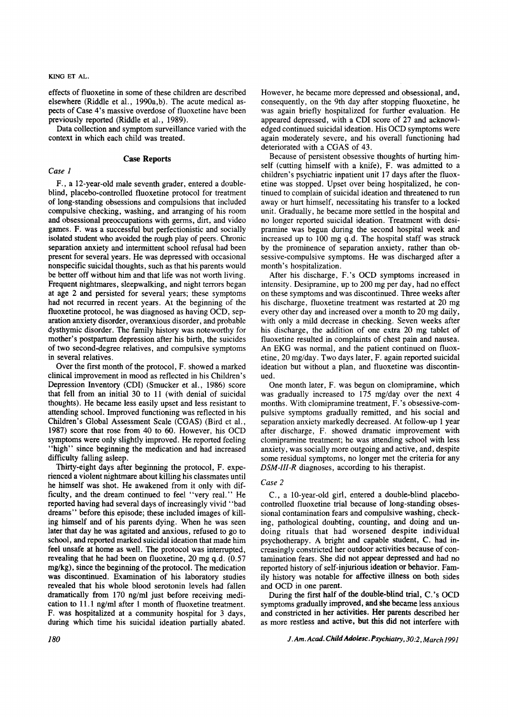effects of fluoxetine in some of these children are described elsewhere (Riddle et al., 1990a,b). The acute medical aspects of Case 4's massive overdose of fluoxetine have been previously reported (Riddle et al., 1989).

Data collection and symptom surveillance varied with the context in which each child was treated.

## Case Reports

*Case 1* 

F., a 12-year-old male seventh grader, entered a doubleblind, placebo-controlled fluoxetine protocol for treatment of long-standing obsessions and compulsions that included compulsive checking, washing, and arranging of his room and obsessional preoccupations with germs, dirt, and video games. F. was a successful but perfectionistic and socially isolated student who avoided the rough play of peers. Chronic separation anxiety and intermittent school refusal had been present for several years. He was depressed with occasional nonspecific suicidal thoughts, such as that his parents would be better off without him and that life was not worth living. Frequent nightmares, sleepwalking, and night terrors began at age 2 and persisted for several years; these symptoms had not recurred in recent years. At the beginning of the fluoxetine protocol, he was diagnosed as having OCD, separation anxiety disorder, overanxious disorder, and probable dysthymic disorder. The family history was noteworthy for mother's postpartum depression after his birth, the suicides of two second-degree relatives, and compulsive symptoms in several relatives.

Over the first month of the protocol, F. showed a marked clinical improvement in mood as reflected in his Children's Depression Inventory (CDI) (Smucker et al., 1986) score that fell from an initial 30 to 11 (with denial of suicidal thoughts). He became less easily upset and less resistant to attending school. Improved functioning was reflected in his Children's Global Assessment Scale (CGAS) (Bird et al., 1987) score that rose from 40 to 60. However, his OCD symptoms were only slightly improved. He reported feeling 'high'' since beginning the medication and had increased difficulty falling asleep.

Thirty-eight days after beginning the protocol, F. experienced a violent nightmare about killing his classmates until he himself was shot. He awakened from it only with difficulty, and the dream continued to feel "very real." He reported having had several days of increasingly vivid "bad dreams" before this episode; these included images of killing himself and of his parents dying. When he was seen later that day he was agitated and anxious, refused to go to school, and reported marked suicidal ideation that made him feel unsafe at home as well. The protocol was interrupted, revealing that he had been on fluoxetine, 20 mg q.d. (0.57 mg/kg), since the beginning of the protocol. The medication was discontinued. Examination of his laboratory studies revealed that his whole blood serotonin levels had fallen dramatically from 170 ng/ml just before receiving medication to 11.1 ng/ml after 1 month of fluoxetine treatment. F. was hospitalized at a community hospital for 3 days, during which time his suicidal ideation partially abated.

However, he became more depressed and obsessional, and, consequently, on the 9th day after stopping fluoxetine, he was again briefly hospitalized for further evaluation. He appeared depressed, with a CDI score of 27 and acknowledged continued suicidal ideation. His OCD symptoms were again moderately severe, and his overall functioning had deteriorated with a CGAS of 43.

Because of persistent obsessive thoughts of hurting himself (cutting himself with a knife), F. was admitted to a children's psychiatric inpatient unit 17 days after the fluoxetine was stopped. Upset over being hospitalized, he continued to complain of suicidal ideation and threatened to run away or hurt himself, necessitating his transfer to a locked unit. Gradually, he became more settled in the hospital and no longer reported suicidal ideation. Treatment with desipramine was begun during the second hospital week and increased up to 100 mg q.d. The hospital staff was struck by the prominence of separation anxiety, rather than obsessive-compulsive symptoms. He was discharged after a month's hospitalization.

After his discharge, F.'s OCD symptoms increased in intensity. Desipramine, up to 200 mg per day, had no effect on these symptoms and was discontinued. Three weeks after his discharge, fluoxetine treatment was restarted at 20 mg every other day and increased over a month to 20 mg daily, with only a mild decrease in checking. Seven weeks after his discharge, the addition of one extra 20 mg tablet of fluoxetine resulted in complaints of chest pain and nausea. An EKG was normal, and the patient continued on fluoxetine, 20 mg/day. Two days later, F. again reported suicidal ideation but without a plan, and fluoxetine was discontinued.

One month later, F. was begun on clomipramine, which was gradually increased to 175 mg/day over the next 4 months. With clomipramine treatment, F. **'s** obsessive-compulsive symptoms gradually remitted, and his social and separation anxiety markedly decreased. At follow-up 1 year after discharge, F. showed dramatic improvement with clomipramine treatment; he was attending school with less anxiety, was socially more outgoing and active, and, despite some residual symptoms, no longer met the criteria for any *DSM-III-R* diagnoses, according to his therapist.

## *Case 2*

C., a 10-year-old girl, entered a double-blind placebocontrolled fluoxetine trial because of long-standing obsessional contamination fears and compulsive washing, checking, pathological doubting, counting, and doing and undoing rituals that had worsened despite individual psychotherapy. A bright and capable student, C. had increasingly constricted her outdoor activities because of contamination fears. She did not appear depressed and had no reported history of self-injurious ideation or behavior. Family history was notable for affective illness on both sides and OCD in one parent.

During the first half of the double-blind trial, C.'s OCD symptoms gradually improved, **and** she became less anxious and constricted in her activities. Her parents described her as more restless and active, but **this** did not interfere with

J. Am. Acad. Child Adolesc. Psychiatry, 30:2, March 1991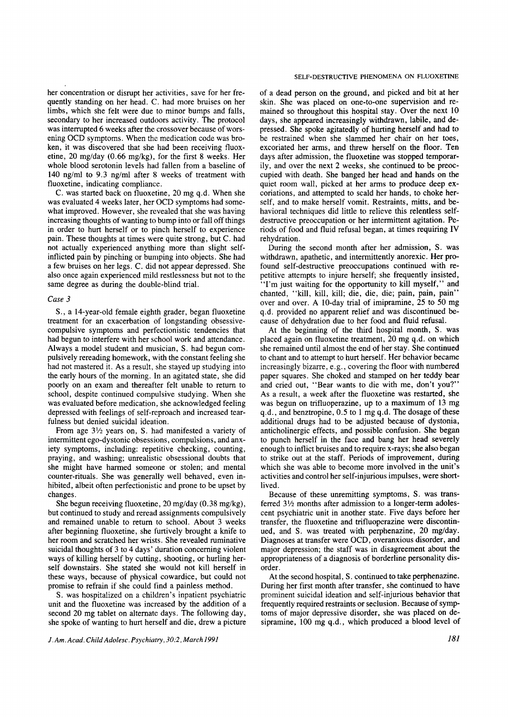her concentration or disrupt her activities, save for her frequently standing on her head. C. had more bruises on her limbs, which she felt were due to minor bumps and falls, secondary to her increased outdoors activity. The protocol was interrupted *6* weeks after the crossover because of worsening OCD symptoms. When the medication code was broken, it was discovered that she had been receiving fluoxetine, 20 mg/day (0.66 mg/kg), for the first 8 weeks. Her whole blood serotonin levels had fallen from a baseline of 140 ng/ml to 9.3 ng/ml after 8 weeks of treatment with fluoxetine, indicating compliance.

C. was started back on fluoxetine, **20** mg q.d. When she was evaluated 4 weeks later, her OCD symptoms had somewhat improved. However, she revealed that she was having increasing thoughts of wanting to bump into or fall off things in order to hurt herself or to pinch herself to experience pain. These thoughts at times were quite strong, but C. had not actually experienced anything more than slight selfinflicted pain by pinching or bumping into objects. She had a few bruises on her legs. C. did not appear depressed. She also once again experienced mild restlessness but not to the same degree as during the double-blind trial.

#### *Case 3*

**S.,** a 14-year-old female eighth grader, began fluoxetine treatment for an exacerbation of longstanding obsessivecompulsive symptoms and perfectionistic tendencies that had begun to interfere with her school work and attendance. Always a model student and musician, *S.* had begun compulsively rereading homework, with the constant feeling she had not mastered it. As a result, she stayed up studying into the early hours of the morning. In an agitated state, she did poorly on an exam and thereafter felt unable to return to school, despite continued compulsive studying. When she was evaluated before medication, she acknowledged feeling depressed with feelings of self-reproach and increased tearfulness but denied suicidal ideation.

From age *3Y2* years on, *S.* had manifested a variety of intermittent ego-dystonic obsessions, compulsions, and anxiety symptoms, including: repetitive checking, counting, praying, and washing; unrealistic obsessional doubts that she might have harmed someone or stolen; and mental counter-rituals. She was generally well behaved, even inhibited, albeit often perfectionistic and prone to be upset by changes.

She begun receiving fluoxetine, 20 mg/day **(0.38** mg/kg), but continued to study and reread assignments compulsively and remained unable to return to school. About **3** weeks after beginning fluoxetine, she furtively brought a knife to her room and scratched her wrists. She revealed ruminative suicidal thoughts of 3 to 4 days' duration concerning violent ways of killing herself by cutting, shooting, or hurling herself downstairs. She stated she would not kill herself in these ways, because of physical cowardice, but could not promise to refrain if she could find a painless method.

*S.* was hospitalized on a children's inpatient psychiatric unit and the fluoxetine was increased by the addition of a second **20** mg tablet on alternate days. The following day, she spoke of wanting to hurt herself and die, drew a picture

*J.Am. Acad. Child Adolesc. Psychiatry, 30:2, March1991* 

#### **SELF-DESTRUCTIVE PHENOMENA ON FLUOXETINE**

of a dead person on the ground, and picked and bit at her skin. She was placed on one-to-one supervision and remained so throughout this hospital stay. Over the next 10 days, she appeared increasingly withdrawn, labile, and depressed. She spoke agitatedly of hurting herself and had to be restrained when she slammed her chair on her toes, excoriated her arms, and threw herself on the floor. Ten days after admission, the fluoxetine was stopped temporarily, and over the next **2** weeks, she continued to be preoccupied with death. She banged her head and hands on the quiet room wall, picked at her arms to produce deep excoriations, and attempted to scald her hands, to choke herself, and to make herself vomit. Restraints, mitts, and behavioral techniques did little to relieve this relentless selfdestructive preoccupation or her intermittent agitation. Periods of food and fluid refusal began, at times requiring IV rehydration.

During the second month after her admission, *S.* was withdrawn, apathetic, and intermittently anorexic. Her profound self-destructive preoccupations continued with repetitive attempts to injure herself; she frequently insisted, "I'm just waiting for the opportunity to kill myself," and chanted, "kill, kill, kill; die, die, die; pain, pain, pain" over and over. A 10-day trial of imipramine, **25** to 50 mg q.d. provided no apparent relief and was discontinued because of dehydration due to her food and fluid refusal.

At the beginning of the third hospital month, *S.* was placed again on fluoxetine treatment, 20 mg q.d. on which she remained until almost the end of her stay. She continued to chant and to attempt to hurt herself. Her behavior became increasingly bizarre, e.g., covering the floor with numbered paper squares. She choked and stamped on her teddy bear and cried out, "Bear wants to die with me, don't you?" As a result, a week after the fluoxetine was restarted, she was begun on trifluoperazine, up to a maximum of 13 mg q.d., and benztropine, **0.5** to 1 mg q.d. The dosage of these additional drugs had to be adjusted because of dystonia, anticholinergic effects, and possible confusion. She began to punch herself in the face and bang her head severely enough to inflict bruises and to require x-rays; she also began to strike out at the staff. Periods of improvement, during which she was able to become more involved in the unit's activities and control her self-injurious impulses, were shortlived.

Because of these unremitting symptoms, *S.* was transferred *3Y2* months after admission to a longer-term adolescent psychiatric unit in another state. Five days before her transfer, the fluoxetine and trifluoperazine were discontinued, and *S.* was treated with perphenazine, 20 mg/day. Diagnoses at transfer were OCD, overanxious disorder, and major depression; the staff was in disagreement about the appropriateness of a diagnosis of borderline personality disorder.

At the second hospital, *S.* continued to take perphenazine. During her first month after transfer, she continued to have prominent suicidal ideation and self-injurious behavior that frequently required restraints or seclusion. Because of symptoms of major depressive disorder, she was placed on desipramine, **100** mg q.d., which produced a blood level of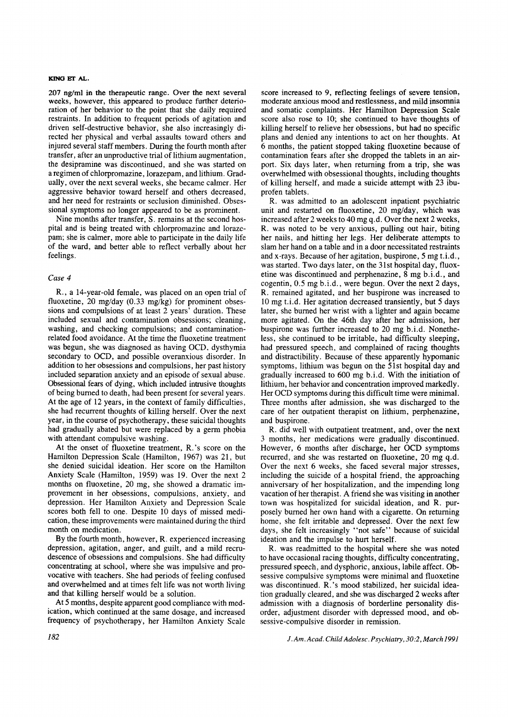207 ng/ml in the therapeutic range. Over the next several weeks, however, this appeared to produce further deterioration of her behavior to the point that she daily required restraints. In addition to frequent periods of agitation and driven self-destructive behavior, she also increasingly directed her physical and verbal assaults toward others and injured several staff members. During the fourth month after transfer, after an unproductive trial of lithium augmentation, the desipramine was discontinued, and she was started on a regimen of chlorpromazine, lorazepam, and lithium. Gradually, over the next several weeks, she became calmer. Her aggressive behavior toward herself and others decreased, and her need for restraints or seclusion diminished. Obsessional symptoms no longer appeared to be as prominent.

Nine months after transfer, **S.** remains at the second hospital and is being treated with chlorpromazine and lorazepam; she is calmer, more able to participate in the daily life of the ward, and better able to reflect verbally about her feelings.

## *Case 4*

R., a 14-year-old female, was placed on an open trial of fluoxetine, 20 mg/day  $(0.33 \text{ mg/kg})$  for prominent obsessions and compulsions of at least 2 years' duration. These included sexual and contamination obsessions; cleaning, washing, and checking compulsions; and contaminationrelated food avoidance. At the time the fluoxetine treatment was begun, she was diagnosed as having OCD. dysthymia secondary to OCD, and possible overanxious disorder. In addition to her obsessions and compulsions, her past history included separation anxiety and an episode of sexual abuse. Obsessional fears of dying, which included intrusive thoughts of being burned to death, had been present for several years. At the age of 12 years, in the context of family difficulties, she had recurrent thoughts of killing herself. Over the next year, in the course of psychotherapy, these suicidal thoughts had gradually abated but were replaced by a germ phobia with attendant compulsive washing.

At the onset of fluoxetine treatment, R.'s score on the Hamilton Depression Scale (Hamilton, 1967) was 21, but she denied suicidal ideation. Her score on the Hamilton Anxiety Scale (Hamilton, 1959) was 19. Over the next **2**  months on fluoxetine, 20 mg, she showed a dramatic improvement in her obsessions, compulsions, anxiety, and depression. Her Hamilton Anxiety and Depression Scale scores both fell to one. Despite 10 days of missed medication, these improvements were maintained during the third month on medication.

By the fourth month, however, R. experienced increasing depression, agitation, anger, and guilt, and a mild recrudescence of obsessions and compulsions. She had difficulty concentrating at school, where she was impulsive and provocative with teachers. She had periods of feeling confused and overwhelmed and at times felt life was not worth living and that killing herself would be a solution.

At *5* months, despite apparent good compliance with medication, which continued at the same dosage, and increased frequency of psychotherapy, her Hamilton Anxiety Scale score increased to **9,** reflecting feelings of severe tension, moderate anxious mood and restlessness, and mild insomnia and somatic complaints. Her Hamilton Depression Scale score also rose to 10; she continued to have thoughts of killing herself to relieve her obsessions, but had no specific plans and denied any intentions to act on her thoughts. At 6 months, the patient stopped taking fluoxetine because of contamination fears after she dropped the tablets in an airport. Six days later, when returning from a trip, she was overwhelmed with obsessional thoughts, including thoughts of killing herself, and made a suicide attempt with 23 ibuprofen tablets.

R. was admitted to an adolescent inpatient psychiatric unit and restarted on fluoxetine, 20 mg/day, which was increased after **2** weeks to 40 mg q.d. Over the next **2** weeks, R. was noted to be very anxious, pulling out hair, biting her nails, and hitting her legs. Her deliberate attempts to slam her hand on a table and in a door necessitated restraints and x-rays. Because of her agitation, buspirone, 5 mg t.i.d., was started. Two days later, on the 31st hospital day, fluoxetine was discontinued and perphenazine, **8** mg b.i.d., and cogentin, 0.5 mg b.i.d., were begun. Over the next 2 days, R. remained agitated, and her buspirone was increased to 10 mg t.i.d. Her agitation decreased transiently, but 5 days later, she burned her wrist with a lighter and again became more agitated. On the 46th day after her admission, her buspirone was further increased to 20 mg b.i.d. Nonetheless, she continued to be irritable, had difficulty sleeping, had pressured speech, and complained of racing thoughts and distractibility. Because of these apparently hypomanic symptoms, lithium was begun on the 51st hospital day and gradually increased to 600 mg b.i.d. With the initiation of lithium, her behavior and concentration improved markedly. Her OCD symptoms during this difficult time were minimal. Three months after admission, she was discharged to the care of her outpatient therapist on lithium, perphenazine, and buspirone.

R. did well with outpatient treatment, and, over the next *3* months, her medications were gradually discontinued. However, 6 months after discharge, her OCD symptoms recurred, and she was restarted on fluoxetine, 20 mg q.d. Over the next 6 weeks, she faced several major stresses, including the suicide of a hospital friend, the approaching anniversary of her hospitalization, and the impending long vacation of her therapist. A friend she was visiting in another town was hospitalized for suicidal ideation, and R. purposely burned her own hand with a cigarette. On returning home, she felt irritable and depressed. Over the next few days, she felt increasingly "not safe" because of suicidal ideation and the impulse to hurt herself.

R. was readmitted to the hospital where she was noted to have occasional racing thoughts, difficulty concentrating, pressured speech, and dysphoric, anxious, labile affect. Obsessive compulsive symptoms were minimal and fluoxetine was discontinued. R. 's mood stabilized, her suicidal ideation gradually cleared, and she was discharged **2** weeks after admission with a diagnosis of borderline personality disorder, adjustment disorder with depressed mood, and obsessive-compulsive disorder in remission.

*J. Am. Acad. Child Adolesc. Psychiatry, 30:2, March1991*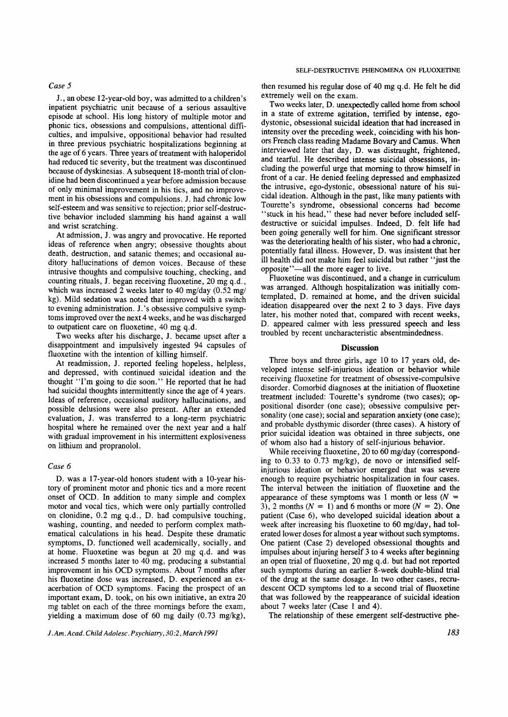## *Case 5*

**J.,** an obese 12-year-old boy, was admitted to a children's inpatient psychiatric unit because of a serious assaultive episode at school. His long history of multiple motor and phonic tics, obsessions and compulsions, attentional difficulties, and impulsive, oppositional behavior had resulted in three previous psychiatric hospitalizations beginning at the age of 6 years. Three years of treatment with haloperidol had reduced tic severity, but the treatment was discontinued because of dyskinesias. A subsequent 18-month trial of clonidine had been discontinued a year before admission because of only minimal improvement in his tics, and no improvement in his obsessions and compulsions. **J.** had chronic low self-esteem and was sensitive to rejection; prior self-destructive behavior included slamming his hand against a wall and wrist scratching.

At admission, **J.** was angry and provocative. He reported ideas of reference when angry; obsessive thoughts about death, destruction, and satanic themes; and occasional auditory hallucinations of demon voices. Because of these intrusive thoughts and compulsive touching, checking, and counting rituals, J. began receiving fluoxetine, **20** mg q.d., which was increased 2 weeks later to 40 mg/day  $(0.52 \text{ mg})$ kg). Mild sedation was noted that improved with a switch to evening administration. **J.** 's obsessive compulsive symptoms improved over the next **4** weeks, and he was discharged to outpatient care on fluoxetine, 40 mg q.d.

Two weeks after his discharge, **J.** became upset after a disappointment and impulsively ingested 94 capsules of fluoxetine with the intention of killing himself.

At readmission, **J.** reported feeling hopeless, helpless, and depressed, with continued suicidal ideation and the thought "I'm going to die soon." He reported that he had had suicidal thoughts intermittently since the age of **4** years. Ideas of reference, occasional auditory hallucinations, and possible delusions were also present. After an extended evaluation, **J.** was transferred to a long-term psychiatric hospital where he remained over the next year and a half with gradual improvement in his intermittent explosiveness on lithium and propranolol.

#### *Case 6*

D. was a 17-year-old honors student with a 10-year history of prominent motor and phonic tics and a more recent onset of OCD. In addition to many simple and complex motor and vocal tics, which were only partially controlled on clonidine, 0.2 mg q.d., D. had compulsive touching, washing, counting, and needed to perform complex mathematical calculations in his head. Despite these dramatic symptoms, D. functioned well academically, socially, and at home. Fluoxetine was begun at 20 mg q.d. and was increased *5* months later to 40 mg, producing a substantial improvement in his OCD symptoms. About 7 months after his fluoxetine dose was increased, D. experienced an exacerbation of OCD symptoms. Facing the prospect of an important exam, D. took, on his own initiative, an extra **20**  mg tablet on each of the three mornings before the exam, yielding a maximum dose of 60 mg daily (0.73 mg/kg),

then resumed his regular dose of 40 mg q.d. He felt he did extremely well on the exam.

Two weeks later, D. unexpectedly called home from school in a state of extreme agitation, terrified by intense, egodystonic, obsessional suicidal ideation that had increased in intensity over the preceding week, coinciding with his honors French class reading Madame Bovary and Camus. When interviewed later that day, D. was distraught, frightened, and tearful. He described intense suicidal obsessions, including the powerful urge that morning to throw himself in front of a car. He denied feeling depressed and emphasized the intrusive, ego-dystonic, obsessional nature of his **sui**cidal ideation. Although in the past, like many patients with Tourette 's syndrome, obsessional concerns had become "stuck in his head," these had never before included selfdestructive or suicidal impulses. Indeed, D. felt life had been going generally well for him. One significant stressor was the deteriorating health of his sister, who had a chronic, potentially fatal illness. However, D. was insistent that her ill health did not make him feel suicidal but rather "just the opposite"-all the more eager to live.

Fluoxetine was discontinued, and a change in curriculum was arranged. Although hospitalization was initially comtemplated, D. remained at home, and the driven suicidal ideation disappeared over the next **2** to **3** days. Five days later, his mother noted that, compared with recent weeks, D. appeared calmer with less pressured speech and less troubled by recent uncharacteristic absentmindedness.

#### **Discussion**

Three boys and three girls, age 10 to 17 years old, developed intense self-injurious ideation or behavior while receiving fluoxetine for treatment of obsessive-compulsive disorder. Comorbid diagnoses at the initiation of fluoxetine treatment included: Tourette's syndrome (two cases); oppositional disorder (one case); obsessive compulsive personality (one case); social and separation anxiety (one case); and probable dysthymic disorder (three cases). A history of prior suicidal ideation was obtained in three subjects, one of whom also had a history of self-injurious behavior.

While receiving fluoxetine, 20 to 60 mg/day (corresponding to 0.33 to 0.73 mg/kg), de novo or intensified selfinjurious ideation or behavior emerged that was severe enough to require psychiatric hospitalization in four cases. The interval between the initiation of fluoxetine and the appearance of these symptoms was 1 month or less  $(N =$  $3$ , 2 months  $(N = 1)$  and 6 months or more  $(N = 2)$ . One patient (Case **6),** who developed suicidal ideation about a week after increasing his fluoxetine to 60 mg/day, had tolerated lower doses for almost a year without such symptoms. One patient (Case 2) developed obsessional thoughts and impulses about injuring herself 3 to **4** weeks after beginning an open trial of fluoxetine, **20** mg q.d. but had not reported such symptoms during an earlier 8-week double-blind trial of the drug at the same dosage. In two other cases, recrudescent OCD symptoms led to a second trial of fluoxetine that was followed by the reappearance of suicidal ideation about 7 weeks later (Case **1** and **4).** 

The relationship of these emergent self-destructive phe-

*J.Am. Acad. Child Adolesc. Psychiatry,30:2,March1991 183*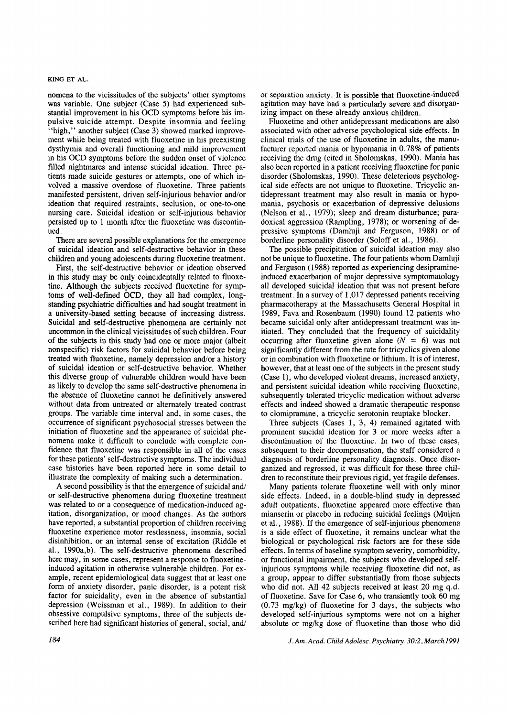nomena to the vicissitudes of the subjects' other symptoms was variable. One subject (Case 5) had experienced substantial improvement in his OCD symptoms before his impulsive suicide attempt. Despite insomnia and feeling "high," another subject (Case 3) showed marked improvement while being treated with fluoxetine in his preexisting dysthymia and overall functioning and mild improvement in his OCD symptoms before the sudden onset of violence filled nightmares and intense suicidal ideation. Three patients made suicide gestures or attempts, one of which involved a massive overdose of fluoxetine. Three patients manifested persistent, driven self-injurious behavior and/or ideation that required restraints, seclusion, or one-to-one nursing care. Suicidal ideation or self-injurious behavior persisted up to 1 month after the fluoxetine was discontinued.

There are several possible explanations for the emergence of suicidal ideation and self-destructive behavior in these children and young adolescents during fluoxetine treatment.

First, the self-destructive behavior or ideation observed in this study may be only coincidentally related to fluoxetine. Although the subjects received fluoxetine for symptoms of well-defined OCD, they all had complex, longstanding psychiatric difficulties and had sought treatment in **a** university-based setting because of increasing distress. Suicidal and self-destructive phenomena are certainly not uncommon in the clinical vicissitudes of such children. Four of the subjects in this study had one or more major (albeit nonspecific) risk factors for suicidal behavior before being treated with fluoxetine, namely depression and/or a history of suicidal ideation or self-destructive behavior. Whether this diverse group of vulnerable children would have been as likely to develop the same self-destructive phenomena in the absence of fluoxetine cannot be definitively answered without data from untreated or alternately treated contrast groups. The variable time interval and, in some cases, the occurrence of significant psychosocial stresses between the initiation of fluoxetine and the appearance of suicidal phenomena make it difficult to conclude with complete confidence that fluoxetine was responsible in all of the cases for these patients' self-destructive symptoms, The individual case histories have been reported here in some detail to illustrate the complexity of making such a determination.

**A** second possibility is that the emergence of suicidal and/ or self-destructive phenomena during fluoxetine treatment was related to or a consequence of medication-induced agitation, disorganization, or mood changes. **As** the authors have reported, a substantial proportion of children receiving fluoxetine experience motor restlessness, insomnia, social disinhibition, or an internal sense of excitation (Riddle et al., 1990a,b). The self-destructive phenomena described here may, in some cases, represent a response to fluoxetineinduced agitation in otherwise vulnerable children. For example, recent epidemiological data suggest that at least one form of anxiety disorder, panic disorder, is a potent risk factor for suicidality, even in the absence of substantial depression (Weissman et al., 1989). In addition to their obsessive compulsive symptoms, three of the subjects described here had significant histories of general, social, and/ or separation anxiety. It **is** possible that fluoxetine-induced agitation may have had a particularly severe and disorganizing impact on these already anxious children.

Fluoxetine and other antidepressant medications are also associated with other adverse psychological side effects. In clinical trials of the use of fluoxetine in adults, the manufacturer reported mania or hypomania in 0.78% of patients receiving the drug (cited in Sholomskas, 1990). Mania has also been reported in a patient receiving fluoxetine for panic disorder (Sholomskas, 1990). These deleterious psychological side effects are not unique to fluoxetine. Tricyclic antidepressant treatment may also result in mania or hypomania, psychosis or exacerbation of depressive delusions (Nelson et al., 1979); sleep and dream disturbance; paradoxical aggression (Rampling, 1978); or worsening of depressive symptoms (Damluji and Ferguson, 1988) or of borderline personality disorder (Soloff et al., 1986).

The possible precipitation of suicidal ideation may also not be unique to fluoxetine. The four patients whom Damluji and Ferguson (1988) reported as experiencing desipramineinduced exacerbation of major depressive symptomatology all developed suicidal ideation that was not present before treatment. In a survey of 1,017 depressed patients receiving pharmacotherapy at the Massachusetts General Hospital in 1989, Fava and Rosenbaum (1990) found 12 patients who became suicidal only after antidepressant treatment was initiated. They concluded that the frequency of suicidality occurring after fluoxetine given alone  $(N = 6)$  was not significantly different from the rate for tricyclics given alone or in combination with fluoxetine or lithium. It is of interest, however, that at least one of the subjects in the present study (Case **I),** who developed violent dreams, increased anxiety, and persistent suicidal ideation while receiving fluoxetine, subsequently tolerated tricyclic medication without adverse effects and indeed showed a dramatic therapeutic response to clomipramine, a tricyclic serotonin reuptake blocker.

Three subjects (Cases 1, 3, 4) remained agitated with prominent suicidal ideation for **3** or more weeks after a discontinuation of the fluoxetine. In two of these cases, subsequent to their decompensation, the staff considered a diagnosis of borderline personality diagnosis. Once disorganized and regressed, it was difficult for these three children to reconstitute their previous rigid, yet fragile defenses.

Many patients tolerate fluoxetine well with only minor side effects. Indeed, in a double-blind study in depressed adult outpatients, fluoxetine appeared more effective than mianserin or placebo in reducing suicidal feelings (Muijen et al., 1988). If the emergence of self-injurious phenomena is a side effect of fluoxetine, it remains unclear what the biological or psychological risk factors are for these side effects. In terms of baseline symptom severity, comorbidity, or functional impairment, the subjects who developed selfinjurious symptoms while receiving fluoxetine did not, as a group, appear to differ substantially from those subjects who did not. All 42 subjects received at least 20 mg q.d. of fluoxetine. Save for Case 6, who transiently took 60 mg (0.73 mg/kg) of fluoxetine for 3 days, the subjects who developed self-injurious symptoms were not on a higher absolute or mg/kg dose of fluoxetine than those who did

*J.Am. Acad. CkildAdolesc.Psyckiatry, 30:2, March1991*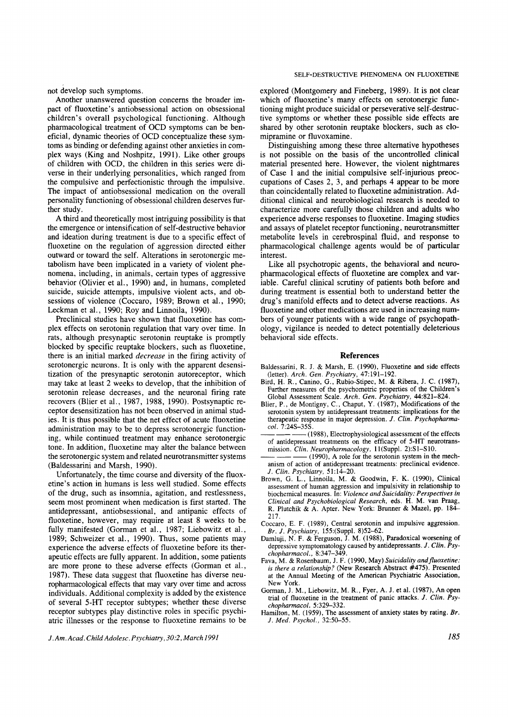not develop such symptoms.

Another unanswered question concerns the broader impact of fluoxetine's antiobsessional action on obsessional children's overall psychological functioning. Although pharmacological treatment of OCD symptoms can be beneficial, dynamic theories of OCD conceptualize these symtoms as binding or defending against other anxieties in complex ways (King and Noshpitz, 1991). Like other groups of children with OCD, the children in this series were diverse in their underlying personalities, which ranged from the compulsive and perfectionistic through the impulsive. The impact of antiobsessional medication on the overall personality functioning of obsessional children deserves further study.

A third and theoretically most intriguing possibility is that the emergence or intensification of self-destructive behavior and ideation during treatment is due to a specific effect of fluoxetine on the regulation of aggression directed either outward or toward the self. Alterations in serotonergic metabolism have been implicated in a variety of violent phenomena, including, in animals, certain types of aggressive behavior (Olivier et al., 1990) and, in humans, completed suicide, suicide attempts, impulsive violent acts, and obsessions of violence (Coccaro, 1989; Brown et al., 1990; Leckman et al., 1990; Roy and Linnoila, 1990).

Preclinical studies have shown that fluoxetine has complex effects on serotonin regulation that vary over time. In rats, although presynaptic serotonin reuptake is promptly blocked by specific reuptake blockers, such as fluoxetine, there is an initial marked *decrease* in the firing activity of serotonergic neurons. It is only with the apparent desensitization of the presynaptic serotonin autoreceptor, which may take at least 2 weeks to develop, that the inhibition of serotonin release decreases, and the neuronal firing rate recovers (Blier et al., 1987, 1988, 1990). Postsynaptic receptor desensitization has not been observed in animal studies. It is thus possible that the net effect of acute fluoxetine administration may to be to depress serotonergic functioning, while continued treatment may enhance serotonergic tone. In addition, fluoxetine may alter the balance between the serotonergic system and related neurotransmitter systems (Baldessarini and Marsh, 1990).

Unfortunately, the time course and diversity of the fluoxetine's action in humans is less well studied. Some effects of the drug, such as insomnia, agitation, and restlessness, seem most prominent when medication is first started. The antidepressant, antiobsessional, and antipanic effects of fluoxetine, however, may require at least 8 weeks to be fully manifested (Gorman et al., 1987; Liebowitz et al., 1989; Schweizer et al., 1990). Thus, some patients may experience the adverse effects of fluoxetine before its therapeutic effects are fully apparent. In addition, some patients are more prone to these adverse effects (Gorman et al., 1987). These data suggest that fluoxetine has diverse neuropharmacological effects that may vary over time and across individuals. Additional complexity is added by the existence of several **5-HT** receptor subtypes; whether these diverse receptor subtypes play distinctive roles in specific psychiatric illnesses or the response to fluoxetine remains to be

*J. Am. Acad. Child Adolesc. Psychiatry, 30:2, March 1991 185* 

explored (Montgomery and Fineberg, 1989). It is not clear which of fluoxetine's many effects on serotonergic functioning might produce suicidal or perseverative self-destructive symptoms or whether these possible side effects are shared by other serotonin reuptake blockers, such as clomipramine or fluvoxamine .

Distinguishing among these three alternative hypotheses is not possible on the basis of the uncontrolled clinical material presented here. However, the violent nightmares of Case 1 and the initial compulsive self-injurious preoccupations of Cases **2, 3,** and perhaps **4** appear to be more than coincidentally related to fluoxetine administration. Additional clinical and neurobiological research is needed to characterize more carefully those children and adults who experience adverse responses to fluoxetine. Imaging studies and assays of platelet receptor functioning, neurotransmitter metabolite levels in cerebrospinal fluid, and response to pharmacological challenge agents would be of particular interest.

Like all psychotropic agents, the behavioral and neuropharmacological effects of fluoxetine are complex and variable. Careful clinical scrutiny of patients both before and during treatment is essential both to understand better the drug's manifold effects and to detect adverse reactions. As fluoxetine and other medications are used in increasing numbers of younger patients with a wide range of psychopathology, vigilance is needed to detect potentially deleterious behavioral side effects.

#### **References**

- Baldessarini, R. J. & Marsh, E. (1990), Fluoxetine and side effects
- (letter). *Arch. Gen. Psychiatry,* 47:191-192. Bird, H. R., Canino, G., Rubio-Stipec, M. & Ribera, J. C. (1987), Further measures of the psychometric properties of the Children's Global Assessment Scale. Arch. Gen. Psychiatry, 44:821-824
- Blier, P., de Montigny, C., Chaput, Y. (1987), Modifications of the serotonin system by antidepressant treatments: implications for the therapeutic response in major depression. *J. Clin. Psychopharma- CO~.* 7 :24S-35S.
- (1988), Electrophysiological assessment of the effects of antidepressant treatments on the efficacy of 5-HT neurotransmission. *Clin. Neuropharmacology,* 1 l(Supp1. 2):Sl-S10.
- $(1990)$ , A role for the serotonin system in the mechanism of action of antidepressant treatments: preclinical evidence. *J. Clin. Psychiatry,* 51:14-20.
- Brown, G. L., Linnoila, M. & Goodwin, F. K. (1990), Clinical assessment of human aggression and impulsivity in relationship to biochemical measures. In: *Violence and Suicidality: Perspectives in Clinical and Psychobiological Research,* eds. H. *M.* van Praag, R. Plutchik & A. Apter. New York: Brunner & Mazel, pp. 184- 217.
- Coccaro, E. F. (1989), Central serotonin and impulsive aggression. *Br. J. Psychiatry,* 155:(Suppl. 8)52-62.
- Damluji, N. F. & Ferguson, J. M. (1988), Paradoxical worsening of depressive symptomatology caused by antidepressants. *J. Clin. Psychopharmacol.,* 8:347-349.
- Fava, M. & Rosenbaum, J. F. (1990, May) *Suicidality andfluoxetine: is there a relationship?* (New Research Abstract #475). Presented at the Annual Meeting of the American Psychiatric Association, **New** York.
- Gorman, J. M., Liebowitz, M. R., Fyer, A. J. et al. (1987), An open trial of fluoxetine in the treatment **of** panic attacks. *J. Clin. Psychopharmacol.* 5:329-332.
- Hamilton, M. (1959), The assessment of anxiety states by rating. *Br. J. Med. Psychol.,* 32:50-55.